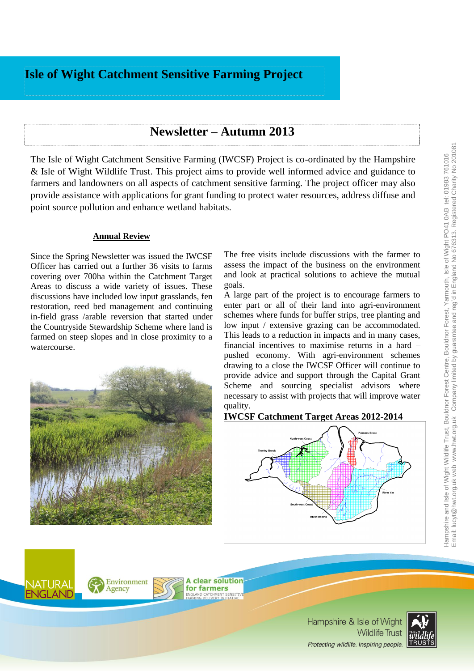# **Isle of Wight Catchment Sensitive Farming Project**

## **Newsletter – Autumn 2013**

The Isle of Wight Catchment Sensitive Farming (IWCSF) Project is co-ordinated by the [Hampshire](http://www.hwt.org.uk/)  [& Isle of Wight Wildlife Trust.](http://www.hwt.org.uk/) This project aims to provide well informed advice and guidance to farmers and landowners on all aspects of catchment sensitive farming. The project officer may also provide assistance with applications for grant funding to protect water resources, address diffuse and point source pollution and enhance wetland habitats.

#### **Annual Review**

Since the Spring Newsletter was issued the IWCSF Officer has carried out a further 36 visits to farms covering over 700ha within the Catchment Target Areas to discuss a wide variety of issues. These discussions have included low input grasslands, fen restoration, reed bed management and continuing in-field grass /arable reversion that started under the Countryside Stewardship Scheme where land is farmed on steep slopes and in close proximity to a watercourse.



A large part of the project is to encourage farmers to enter part or all of their land into agri-environment schemes where funds for buffer strips, tree planting and low input / extensive grazing can be accommodated. This leads to a reduction in impacts and in many cases, financial incentives to maximise returns in a hard – pushed economy. With agri-environment schemes drawing to a close the IWCSF Officer will continue to provide advice and support through the Capital Grant Scheme and sourcing specialist advisors where necessary to assist with projects that will improve water quality.

#### **IWCSF Catchment Target Areas 2012-2014**





**A clear solution** for farmers

> Hampshire & Isle of Wight **Wildlife Trust** Protecting wildlife. Inspiring people.